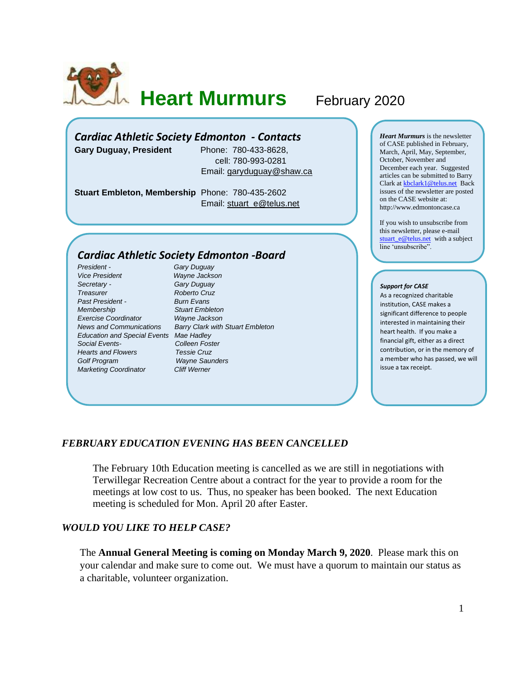

**Heart Murmurs** February 2020

# *Cardiac Athletic Society Edmonton - Contacts*

**Gary Duguay, President** Phone: 780-433-8628,

 cell: 780-993-0281 Email: [garyduguay@shaw.ca](mailto:garyduguay@shaw.ca)

**Stuart Embleton, Membership** Phone: 780-435-2602 Email: [stuart\\_e@telus.net](mailto:stuart_e@telus.net)

## *Cardiac Athletic Society Edmonton -Board*

*President - Gary Duguay Vice President Wayne Jackson Secretary - Gary Duguay Treasurer Roberto Cruz Past President - Burn Evans Membership Stuart Embleton Exercise Coordinator Wayne Jackson Education and Special Events Mae Hadley Social Events- Colleen Foster Hearts and Flowers Tessie Cruz Golf Program Wayne Saunders Marketing Coordinator Cliff Werner*

*News and Communications Barry Clark with Stuart Embleton*

*Heart Murmurs* is the newsletter of CASE published in February, March, April, May, September, October, November and December each year. Suggested articles can be submitted to Barry Clark a[t kbclark1@telus.net](mailto:kbclark1@telus.net) Back issues of the newsletter are posted on the CASE website at: [http://www.edmontoncase.ca](http://www.edmontoncase.ca/)

If you wish to unsubscribe from this newsletter, please e-mail [stuart\\_e@telus.net](mailto:stuart_e@telus.net) with a subject line 'unsubscribe".

#### *Support for CASE*

As a recognized charitable institution, CASE makes a significant difference to people interested in maintaining their heart health. If you make a financial gift, either as a direct contribution, or in the memory of a member who has passed, we will issue a tax receipt.

### *FEBRUARY EDUCATION EVENING HAS BEEN CANCELLED*

The February 10th Education meeting is cancelled as we are still in negotiations with Terwillegar Recreation Centre about a contract for the year to provide a room for the meetings at low cost to us. Thus, no speaker has been booked. The next Education meeting is scheduled for Mon. April 20 after Easter.

### *WOULD YOU LIKE TO HELP CASE?*

The **Annual General Meeting is coming on Monday March 9, 2020**. Please mark this on your calendar and make sure to come out. We must have a quorum to maintain our status as a charitable, volunteer organization.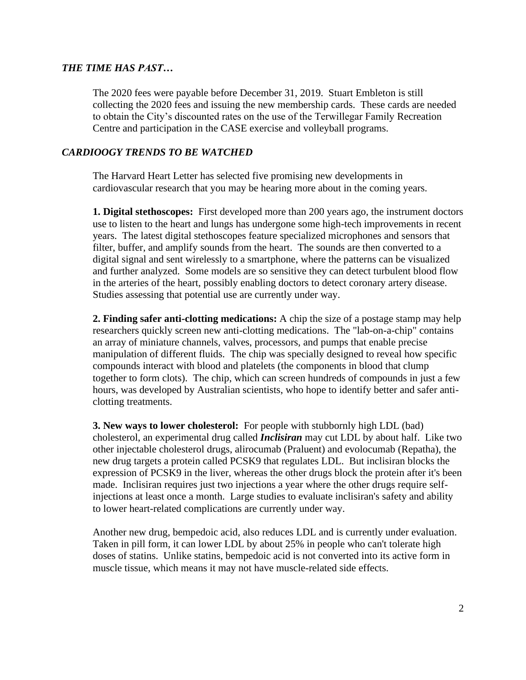## *THE TIME HAS PAST…*

The 2020 fees were payable before December 31, 2019. Stuart Embleton is still collecting the 2020 fees and issuing the new membership cards. These cards are needed to obtain the City's discounted rates on the use of the Terwillegar Family Recreation Centre and participation in the CASE exercise and volleyball programs.

## *CARDIOOGY TRENDS TO BE WATCHED*

The Harvard Heart Letter has selected five promising new developments in cardiovascular research that you may be hearing more about in the coming years.

**1. Digital stethoscopes:** First developed more than 200 years ago, the instrument doctors use to listen to the heart and lungs has undergone some high-tech improvements in recent years. The latest digital stethoscopes feature specialized microphones and sensors that filter, buffer, and amplify sounds from the heart. The sounds are then converted to a digital signal and sent wirelessly to a smartphone, where the patterns can be visualized and further analyzed. Some models are so sensitive they can detect turbulent blood flow in the arteries of the heart, possibly enabling doctors to detect coronary artery disease. Studies assessing that potential use are currently under way.

**2. Finding safer anti-clotting medications:** A chip the size of a postage stamp may help researchers quickly screen new anti-clotting medications. The "lab-on-a-chip" contains an array of miniature channels, valves, processors, and pumps that enable precise manipulation of different fluids. The chip was specially designed to reveal how specific compounds interact with blood and platelets (the components in blood that clump together to form clots). The chip, which can screen hundreds of compounds in just a few hours, was developed by Australian scientists, who hope to identify better and safer anticlotting treatments.

**3. New ways to lower cholesterol:** For people with stubbornly high LDL (bad) cholesterol, an experimental drug called *Inclisiran* may cut LDL by about half. Like two other injectable cholesterol drugs, alirocumab (Praluent) and evolocumab (Repatha), the new drug targets a protein called PCSK9 that regulates LDL. But inclisiran blocks the expression of PCSK9 in the liver, whereas the other drugs block the protein after it's been made. Inclisiran requires just two injections a year where the other drugs require selfinjections at least once a month. Large studies to evaluate inclisiran's safety and ability to lower heart-related complications are currently under way.

Another new drug, bempedoic acid, also reduces LDL and is currently under evaluation. Taken in pill form, it can lower LDL by about 25% in people who can't tolerate high doses of statins. Unlike statins, bempedoic acid is not converted into its active form in muscle tissue, which means it may not have muscle-related side effects.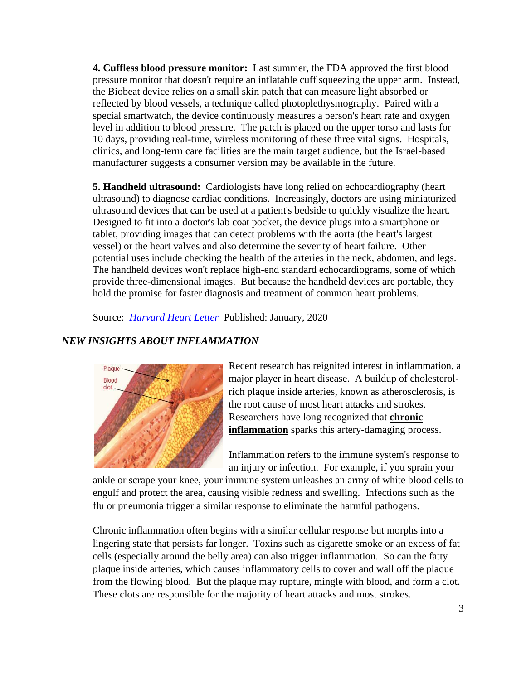**4. Cuffless blood pressure monitor:** Last summer, the FDA approved the first blood pressure monitor that doesn't require an inflatable cuff squeezing the upper arm. Instead, the Biobeat device relies on a small skin patch that can measure light absorbed or reflected by blood vessels, a technique called photoplethysmography. Paired with a special smartwatch, the device continuously measures a person's heart rate and oxygen level in addition to blood pressure. The patch is placed on the upper torso and lasts for 10 days, providing real-time, wireless monitoring of these three vital signs. Hospitals, clinics, and long-term care facilities are the main target audience, but the Israel-based manufacturer suggests a consumer version may be available in the future.

**5. Handheld ultrasound:** Cardiologists have long relied on echocardiography (heart ultrasound) to diagnose cardiac conditions. Increasingly, doctors are using miniaturized ultrasound devices that can be used at a patient's bedside to quickly visualize the heart. Designed to fit into a doctor's lab coat pocket, the device plugs into a smartphone or tablet, providing images that can detect problems with the aorta (the heart's largest vessel) or the heart valves and also determine the severity of heart failure. Other potential uses include checking the health of the arteries in the neck, abdomen, and legs. The handheld devices won't replace high-end standard echocardiograms, some of which provide three-dimensional images. But because the handheld devices are portable, they hold the promise for faster diagnosis and treatment of common heart problems.

Source: *[Harvard Heart Letter](https://www.health.harvard.edu/newsletters/harvard_heart_letter/2020/january)* Published: January, 2020

# *NEW INSIGHTS ABOUT INFLAMMATION*



Recent research has reignited interest in inflammation, a major player in heart disease. A buildup of cholesterolrich plaque inside arteries, known as atherosclerosis, is the root cause of most heart attacks and strokes. Researchers have long recognized that **chronic inflammation** sparks this artery-damaging process.

Inflammation refers to the immune system's response to an injury or infection. For example, if you sprain your

ankle or scrape your knee, your immune system unleashes an army of white blood cells to engulf and protect the area, causing visible redness and swelling. Infections such as the flu or pneumonia trigger a similar response to eliminate the harmful pathogens.

Chronic inflammation often begins with a similar cellular response but morphs into a lingering state that persists far longer. Toxins such as cigarette smoke or an excess of fat cells (especially around the belly area) can also trigger inflammation. So can the fatty plaque inside arteries, which causes inflammatory cells to cover and wall off the plaque from the flowing blood. But the plaque may rupture, mingle with blood, and form a clot. These clots are responsible for the majority of heart attacks and most strokes.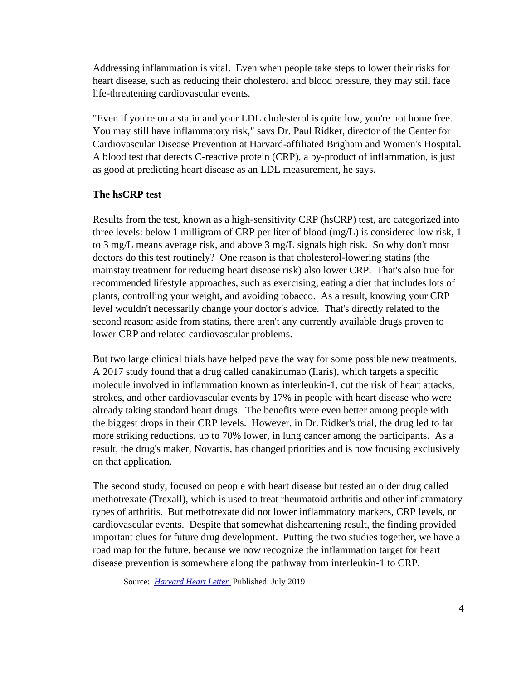Addressing inflammation is vital. Even when people take steps to lower their risks for heart disease, such as reducing their cholesterol and blood pressure, they may still face life-threatening cardiovascular events.

"Even if you're on a statin and your LDL cholesterol is quite low, you're not home free. You may still have inflammatory risk," says Dr. Paul Ridker, director of the Center for Cardiovascular Disease Prevention at Harvard-affiliated Brigham and Women's Hospital. A blood test that detects C-reactive protein (CRP), a by-product of inflammation, is just as good at predicting heart disease as an LDL measurement, he says.

## **The hsCRP test**

Results from the test, known as a high-sensitivity CRP (hsCRP) test, are categorized into three levels: below 1 milligram of CRP per liter of blood (mg/L) is considered low risk, 1 to 3 mg/L means average risk, and above 3 mg/L signals high risk. So why don't most doctors do this test routinely? One reason is that cholesterol-lowering statins (the mainstay treatment for reducing heart disease risk) also lower CRP. That's also true for recommended lifestyle approaches, such as exercising, eating a diet that includes lots of plants, controlling your weight, and avoiding tobacco. As a result, knowing your CRP level wouldn't necessarily change your doctor's advice. That's directly related to the second reason: aside from statins, there aren't any currently available drugs proven to lower CRP and related cardiovascular problems.

But two large clinical trials have helped pave the way for some possible new treatments. A 2017 study found that a drug called canakinumab (Ilaris), which targets a specific molecule involved in inflammation known as interleukin-1, cut the risk of heart attacks, strokes, and other cardiovascular events by 17% in people with heart disease who were already taking standard heart drugs. The benefits were even better among people with the biggest drops in their CRP levels. However, in Dr. Ridker's trial, the drug led to far more striking reductions, up to 70% lower, in lung cancer among the participants. As a result, the drug's maker, Novartis, has changed priorities and is now focusing exclusively on that application.

The second study, focused on people with heart disease but tested an older drug called methotrexate (Trexall), which is used to treat rheumatoid arthritis and other inflammatory types of arthritis. But methotrexate did not lower inflammatory markers, CRP levels, or cardiovascular events. Despite that somewhat disheartening result, the finding provided important clues for future drug development. Putting the two studies together, we have a road map for the future, because we now recognize the inflammation target for heart disease prevention is somewhere along the pathway from interleukin-1 to CRP.

Source: *[Harvard Heart Letter](https://www.health.harvard.edu/newsletters/harvard_heart_letter/2020/january)* Published: July 2019